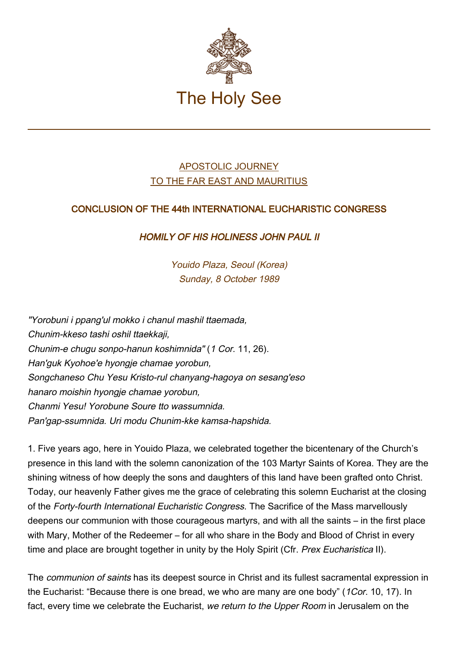

## [APOSTOLIC JOURNEY](https://www.vatican.va/content/john-paul-ii/en/travels/sub_index1989/trav_far-east.html) [TO THE FAR EAST AND MAURITIUS](https://www.vatican.va/content/john-paul-ii/en/travels/sub_index1989/trav_far-east.html)

## CONCLUSION OF THE 44th INTERNATIONAL EUCHARISTIC CONGRESS

## HOMILY OF HIS HOLINESS JOHN PAUL II

Youido Plaza, Seoul (Korea) Sunday, 8 October 1989

"Yorobuni i ppang'ul mokko i chanul mashil ttaemada, Chunim-kkeso tashi oshil ttaekkaji, Chunim-e chugu sonpo-hanun koshimnida" (1 Cor. 11, 26). Han'guk Kyohoe'e hyongje chamae yorobun, Songchaneso Chu Yesu Kristo-rul chanyang-hagoya on sesang'eso hanaro moishin hyongje chamae yorobun, Chanmi Yesu! Yorobune Soure tto wassumnida. Pan'gap-ssumnida. Uri modu Chunim-kke kamsa-hapshida.

1. Five years ago, here in Youido Plaza, we celebrated together the bicentenary of the Church's presence in this land with the solemn canonization of the 103 Martyr Saints of Korea. They are the shining witness of how deeply the sons and daughters of this land have been grafted onto Christ. Today, our heavenly Father gives me the grace of celebrating this solemn Eucharist at the closing of the Forty-fourth International Eucharistic Congress. The Sacrifice of the Mass marvellously deepens our communion with those courageous martyrs, and with all the saints – in the first place with Mary, Mother of the Redeemer – for all who share in the Body and Blood of Christ in every time and place are brought together in unity by the Holy Spirit (Cfr. Prex Eucharistica II).

The *communion of saints* has its deepest source in Christ and its fullest sacramental expression in the Eucharist: "Because there is one bread, we who are many are one body" (1Cor. 10, 17). In fact, every time we celebrate the Eucharist, we return to the Upper Room in Jerusalem on the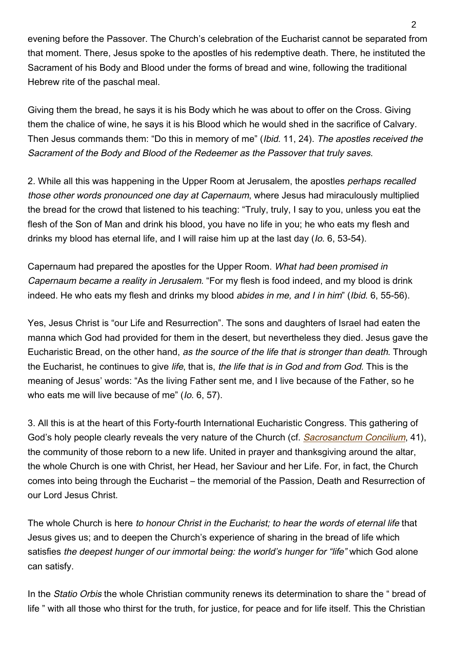evening before the Passover. The Church's celebration of the Eucharist cannot be separated from that moment. There, Jesus spoke to the apostles of his redemptive death. There, he instituted the Sacrament of his Body and Blood under the forms of bread and wine, following the traditional Hebrew rite of the paschal meal.

Giving them the bread, he says it is his Body which he was about to offer on the Cross. Giving them the chalice of wine, he says it is his Blood which he would shed in the sacrifice of Calvary. Then Jesus commands them: "Do this in memory of me" (Ibid. 11, 24). The apostles received the Sacrament of the Body and Blood of the Redeemer as the Passover that truly saves.

2. While all this was happening in the Upper Room at Jerusalem, the apostles *perhaps recalled* those other words pronounced one day at Capernaum, where Jesus had miraculously multiplied the bread for the crowd that listened to his teaching: "Truly, truly, I say to you, unless you eat the flesh of the Son of Man and drink his blood, you have no life in you; he who eats my flesh and drinks my blood has eternal life, and I will raise him up at the last day (Io. 6, 53-54).

Capernaum had prepared the apostles for the Upper Room. What had been promised in Capernaum became a reality in Jerusalem. "For my flesh is food indeed, and my blood is drink indeed. He who eats my flesh and drinks my blood abides in me, and I in him" (Ibid. 6, 55-56).

Yes, Jesus Christ is "our Life and Resurrection". The sons and daughters of Israel had eaten the manna which God had provided for them in the desert, but nevertheless they died. Jesus gave the Eucharistic Bread, on the other hand, as the source of the life that is stronger than death. Through the Eucharist, he continues to give life, that is, the life that is in God and from God. This is the meaning of Jesus' words: "As the living Father sent me, and I live because of the Father, so he who eats me will live because of me" (lo. 6, 57).

3. All this is at the heart of this Forty-fourth International Eucharistic Congress. This gathering of God's holy people clearly reveals the very nature of the Church (cf. [Sacrosanctum Concilium](http://www.vatican.va/archive/hist_councils/ii_vatican_council/documents/vat-ii_const_19631204_sacrosanctum-concilium_en.html), 41), the community of those reborn to a new life. United in prayer and thanksgiving around the altar, the whole Church is one with Christ, her Head, her Saviour and her Life. For, in fact, the Church comes into being through the Eucharist – the memorial of the Passion, Death and Resurrection of our Lord Jesus Christ.

The whole Church is here to honour Christ in the Eucharist; to hear the words of eternal life that Jesus gives us; and to deepen the Church's experience of sharing in the bread of life which satisfies the deepest hunger of our immortal being: the world's hunger for "life" which God alone can satisfy.

In the Statio Orbis the whole Christian community renews its determination to share the " bread of life " with all those who thirst for the truth, for justice, for peace and for life itself. This the Christian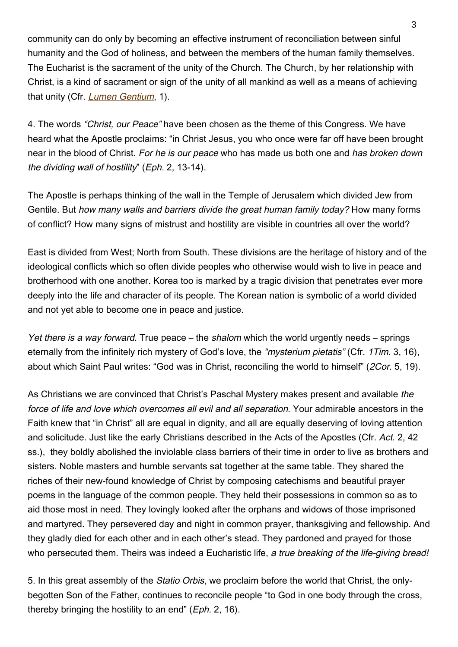community can do only by becoming an effective instrument of reconciliation between sinful humanity and the God of holiness, and between the members of the human family themselves. The Eucharist is the sacrament of the unity of the Church. The Church, by her relationship with Christ, is a kind of sacrament or sign of the unity of all mankind as well as a means of achieving that unity (Cfr. [Lumen Gentium](http://www.vatican.va/archive/hist_councils/ii_vatican_council/documents/vat-ii_const_19641121_lumen-gentium_en.html), 1).

4. The words "Christ, our Peace" have been chosen as the theme of this Congress. We have heard what the Apostle proclaims: "in Christ Jesus, you who once were far off have been brought near in the blood of Christ. For he is our peace who has made us both one and has broken down the dividing wall of hostility" (Eph. 2, 13-14).

The Apostle is perhaps thinking of the wall in the Temple of Jerusalem which divided Jew from Gentile. But how many walls and barriers divide the great human family today? How many forms of conflict? How many signs of mistrust and hostility are visible in countries all over the world?

East is divided from West; North from South. These divisions are the heritage of history and of the ideological conflicts which so often divide peoples who otherwise would wish to live in peace and brotherhood with one another. Korea too is marked by a tragic division that penetrates ever more deeply into the life and character of its people. The Korean nation is symbolic of a world divided and not yet able to become one in peace and justice.

Yet there is a way forward. True peace – the shalom which the world urgently needs – springs eternally from the infinitely rich mystery of God's love, the "*mysterium pietatis"* (Cfr. 1Tim. 3, 16), about which Saint Paul writes: "God was in Christ, reconciling the world to himself" (2Cor. 5, 19).

As Christians we are convinced that Christ's Paschal Mystery makes present and available the force of life and love which overcomes all evil and all separation. Your admirable ancestors in the Faith knew that "in Christ" all are equal in dignity, and all are equally deserving of loving attention and solicitude. Just like the early Christians described in the Acts of the Apostles (Cfr. Act. 2, 42 ss.), they boldly abolished the inviolable class barriers of their time in order to live as brothers and sisters. Noble masters and humble servants sat together at the same table. They shared the riches of their new-found knowledge of Christ by composing catechisms and beautiful prayer poems in the language of the common people. They held their possessions in common so as to aid those most in need. They lovingly looked after the orphans and widows of those imprisoned and martyred. They persevered day and night in common prayer, thanksgiving and fellowship. And they gladly died for each other and in each other's stead. They pardoned and prayed for those who persecuted them. Theirs was indeed a Eucharistic life, a true breaking of the life-giving bread!

5. In this great assembly of the Statio Orbis, we proclaim before the world that Christ, the onlybegotten Son of the Father, continues to reconcile people "to God in one body through the cross, thereby bringing the hostility to an end" (*Eph.* 2, 16).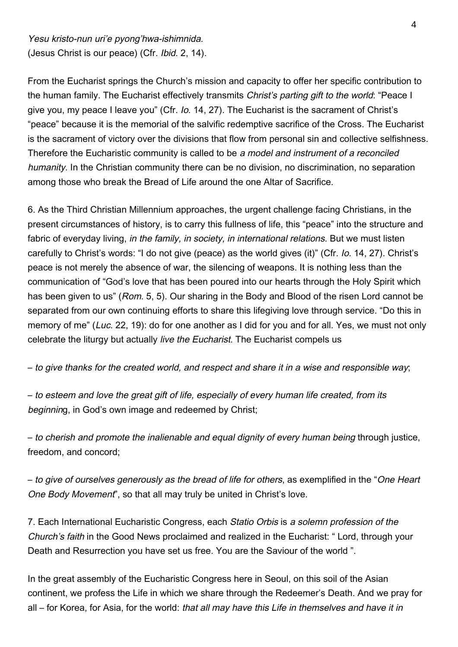Yesu kristo-nun uri'e pyong'hwa-ishimnida. (Jesus Christ is our peace) (Cfr. Ibid. 2, 14).

From the Eucharist springs the Church's mission and capacity to offer her specific contribution to the human family. The Eucharist effectively transmits Christ's parting gift to the world: "Peace I give you, my peace I leave you" (Cfr. Io. 14, 27). The Eucharist is the sacrament of Christ's "peace" because it is the memorial of the salvific redemptive sacrifice of the Cross. The Eucharist is the sacrament of victory over the divisions that flow from personal sin and collective selfishness. Therefore the Eucharistic community is called to be a model and instrument of a reconciled humanity. In the Christian community there can be no division, no discrimination, no separation among those who break the Bread of Life around the one Altar of Sacrifice.

6. As the Third Christian Millennium approaches, the urgent challenge facing Christians, in the present circumstances of history, is to carry this fullness of life, this "peace" into the structure and fabric of everyday living, in the family, in society, in international relations. But we must listen carefully to Christ's words: "I do not give (peace) as the world gives (it)" (Cfr. Io. 14, 27). Christ's peace is not merely the absence of war, the silencing of weapons. It is nothing less than the communication of "God's love that has been poured into our hearts through the Holy Spirit which has been given to us" (Rom. 5, 5). Our sharing in the Body and Blood of the risen Lord cannot be separated from our own continuing efforts to share this lifegiving love through service. "Do this in memory of me" (Luc. 22, 19): do for one another as I did for you and for all. Yes, we must not only celebrate the liturgy but actually live the Eucharist. The Eucharist compels us

– to give thanks for the created world, and respect and share it in a wise and responsible way;

– to esteem and love the great gift of life, especially of every human life created, from its beginning, in God's own image and redeemed by Christ;

– to cherish and promote the inalienable and equal dignity of every human being through justice, freedom, and concord;

– to give of ourselves generously as the bread of life for others, as exemplified in the "One Heart One Body Movement", so that all may truly be united in Christ's love.

7. Each International Eucharistic Congress, each Statio Orbis is a solemn profession of the Church's faith in the Good News proclaimed and realized in the Eucharist: " Lord, through your Death and Resurrection you have set us free. You are the Saviour of the world ".

In the great assembly of the Eucharistic Congress here in Seoul, on this soil of the Asian continent, we profess the Life in which we share through the Redeemer's Death. And we pray for all – for Korea, for Asia, for the world: that all may have this Life in themselves and have it in